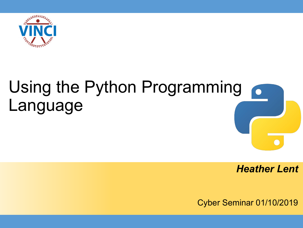

# Using the Python Programming Language

*Heather Lent*

Cyber Seminar 01/10/2019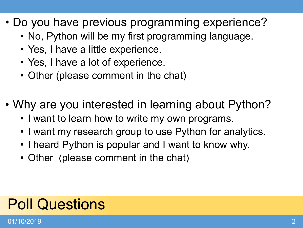- Do you have previous programming experience?
	- No, Python will be my first programming language.
	- Yes, I have a little experience.
	- Yes, I have a lot of experience.
	- Other (please comment in the chat)
- Why are you interested in learning about Python?
	- I want to learn how to write my own programs.
	- I want my research group to use Python for analytics.
	- I heard Python is popular and I want to know why.
	- Other (please comment in the chat)

# Poll Questions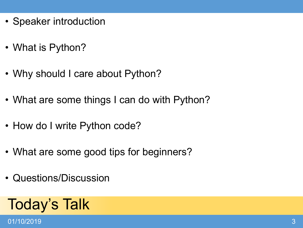- Speaker introduction
- What is Python?
- Why should I care about Python?
- What are some things I can do with Python?
- How do I write Python code?
- What are some good tips for beginners?
- Questions/Discussion

# Today's Talk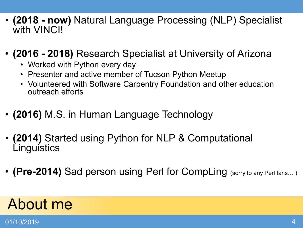- **(2018 - now)** Natural Language Processing (NLP) Specialist with **VINCI!**
- **(2016 - 2018)** Research Specialist at University of Arizona
	- Worked with Python every day
	- Presenter and active member of Tucson Python Meetup
	- Volunteered with Software Carpentry Foundation and other education outreach efforts
- **(2016)** M.S. in Human Language Technology
- **(2014)** Started using Python for NLP & Computational **Linguistics**
- **(Pre-2014)** Sad person using Perl for CompLing (sorry to any Perl fans...)

### About me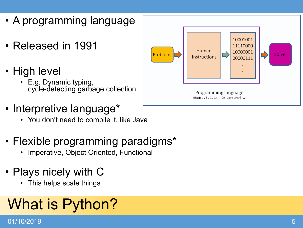- A programming language
- Released in 1991
- High level
	- E.g. Dynamic typing, cycle-detecting garbage collection
- Interpretive language\*
	- You don't need to compile it, like Java
- Flexible programming paradigms\*
	- Imperative, Object Oriented, Functional
- Plays nicely with C
	- This helps scale things

# What is Python?

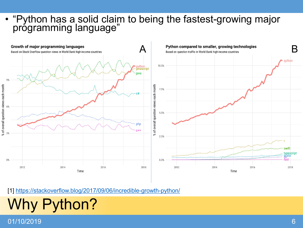#### 01/10/2019

# Why Python?

#### [1]<https://stackoverflow.blog/2017/09/06/incredible-growth-python/>



• "Python has a solid claim to being the fastest-growing major programming language"

#### 6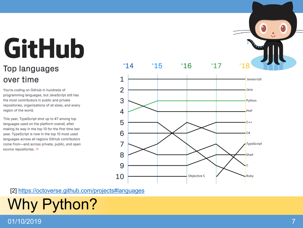# **GitHub**

#### **Top languages** over time

You're coding on GitHub in hundreds of programming languages, but JavaScript still has the most contributors in public and private repositories, organizations of all sizes, and every region of the world.

This year, TypeScript shot up to #7 among top languages used on the platform overall, after making its way in the top 10 for the first time last year. TypeScript is now in the top 10 most used languages across all regions GitHub contributors come from-and across private, public, and open source repositories. \*



[2] <https://octoverse.github.com/projects#languages>

# Why Python?

01/10/2019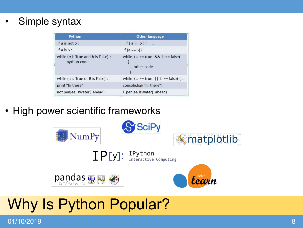#### Simple syntax

| Python                                                          | <b>Other language</b>                               |
|-----------------------------------------------------------------|-----------------------------------------------------|
| if a is not $5:$                                                | if $(a != 5)$ {                                     |
| if $a$ is $5:$                                                  | if $(a == 5)$ {                                     |
| while ( $\alpha$ is True and $\beta$ is False) :<br>python code | while ( $a == true$ && $b == false$ )<br>other code |
| while (a is True or B is False) :                               | while $(a == true \mid b == false)$ {               |
| print "hi there"                                                | console.log("hi there")                             |
| not penjee.isWater(ahead)                                       | ! penjee.isWater(ahead)                             |

• High power scientific frameworks



### Why Is Python Popular?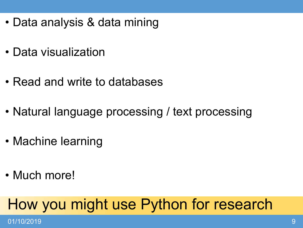- Data analysis & data mining
- Data visualization
- Read and write to databases
- Natural language processing / text processing
- Machine learning
- Much more!

### How you might use Python for research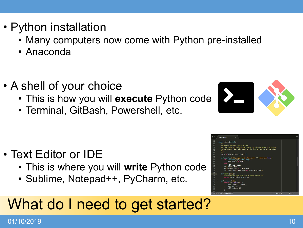- Python installation
	- Many computers now come with Python pre-installed
	- Anaconda
- A shell of your choice
	- This is how you will **execute** Python code
	- Terminal, GitBash, Powershell, etc.

- Text Editor or IDE
	- This is where you will **write** Python code
	- Sublime, Notepad++, PyCharm, etc.

### What do I need to get started?



| 54 |                                                                     |        |
|----|---------------------------------------------------------------------|--------|
| 55 | class Revision(object):                                             |        |
| 56 | ---                                                                 |        |
| 57 | Represents one revision of a page.                                  |        |
| 58 | This is useful for editing particular revision of pages or creating |        |
| 59 | new revisions. It's also used for the diff system and the revision  |        |
| 60 | log.                                                                |        |
| 61 |                                                                     |        |
| 62 | $query = session, query property()$                                 |        |
| 63 |                                                                     |        |
| 64 | def init (self page text change note=", timestamp=None):            |        |
| 65 | if isinstance(page, (int, Long)):                                   |        |
| 66 | $self.parse$ $id = page$                                            |        |
| 67 | else.                                                               |        |
| 68 | $self.parse = page$                                                 |        |
| 69 | $self.text = text$                                                  |        |
| 78 | self.change note = change note                                      |        |
| 71 | self.timestamp = timestamp or datetime.utcnow()                     |        |
| 72 |                                                                     |        |
| 73 | $def$ render(self):                                                 |        |
| 74 | """Render the page text into a genshi stream."""                    |        |
| 75 | return parse creole(self.text)                                      |        |
| 76 |                                                                     |        |
| 77 | $def$ repr $(self)$ :                                               |        |
| 78 | return '<%s %r:%r>' % (                                             |        |
| 79 | self.__class__._name__,                                             |        |
| 80 | self.page_id,                                                       |        |
| 81 | self.revision id                                                    |        |
| 82 |                                                                     |        |
| 02 | -- INSERT -- 1ine 73 Column 22<br>Spaces: 4                         | Python |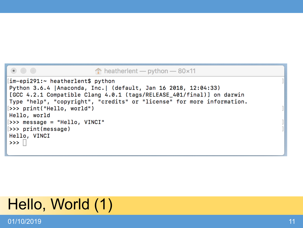#### $\hat{p}$  heatherlent — python — 80×11

```
im-epi291:~ heatherlent$ python
Python 3.6.4 | Anaconda, Inc. | (default, Jan 16 2018, 12:04:33)
[GCC 4.2.1 Compatible Clang 4.0.1 (tags/RELEASE_401/final)] on darwin
Type "help", "copyright", "credits" or "license" for more information.
[>>> print("Hello, world")
Hello, world
[>>> message = "Hello, VINCI"
[>>> print(message)
Hello, VINCI
\rightarrow >> \Box
```
### Hello, World (1)

01/10/2019 11

 $\bullet$  0 0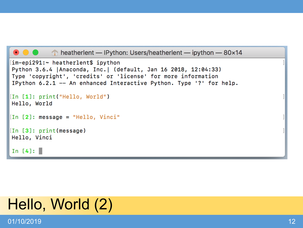```
\bullet \bullet \bullet heatherlent — IPython: Users/heatherlent — ipython — 80×14
[im-epi291:~ heatherlent$ ipython
Python 3.6.4 | Anaconda, Inc. | (default, Jan 16 2018, 12:04:33)
Type 'copyright', 'credits' or 'license' for more information
IPython 6.2.1 -- An enhanced Interactive Python. Type '?' for help.
[In [1]: print("Hello, World")
Hello, World
[In [2]: message = "Hello, Vinci"[In [3]: print(message)]Hello, Vinci
In [4]:
```
### Hello, World (2)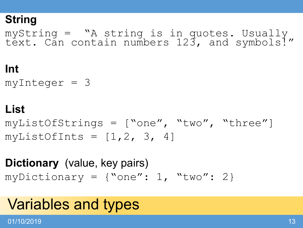### **String**

myString = "A string is in quotes. Usually text. Can contain numbers 123, and symbols!"

### **Int**

 $myInteger = 3$ 

### **List**

myListOfStrings = ["one", "two", "three"]  $myListOfInts = [1, 2, 3, 4]$ 

**Dictionary** (value, key pairs) myDictionary =  $\{$ "one": 1, "two": 2}

### Variables and types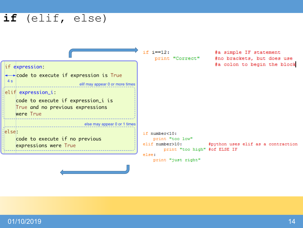### if (elif, else)

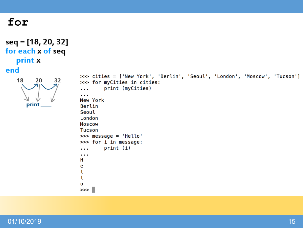#### for

```
seq = [18, 20, 32]
for each x of seq
   print x
end
   18
         20
              32
      print
```

```
>>> cities = ['New York', 'Berlin', 'Seoul', 'London', 'Moscow', 'Tucson']
>>> for myCities in cities:
        print (myCities)
. . .
New York
Berlin
Seoul
London
Moscow
Tucson
>>> message = 'Hello'
>>> for i in message:
        print (i)
. . .
\sim 100н
e
ι
ι
0
\gg
```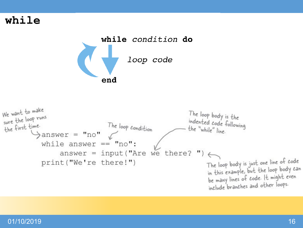#### while





#### 01/10/2019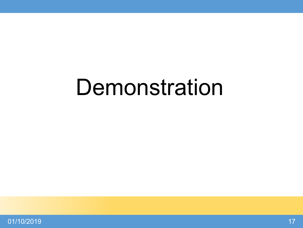# **Demonstration**

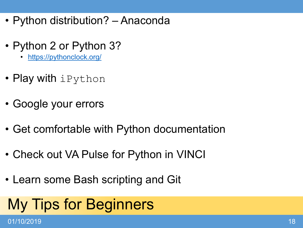- Python distribution? Anaconda
- Python 2 or Python 3?
	- <https://pythonclock.org/>
- Play with iPython
- Google your errors
- Get comfortable with Python documentation
- Check out VA Pulse for Python in VINCI
- Learn some Bash scripting and Git

# My Tips for Beginners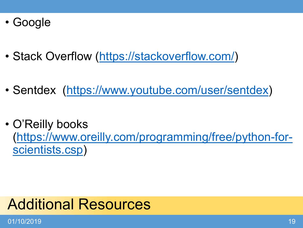- Google
- Stack Overflow ([https://stackoverflow.com/\)](https://stackoverflow.com/)
- Sentdex [\(https://www.youtube.com/user/sentdex](https://www.youtube.com/user/sentdex))
- O'Reilly books [\(https://www.oreilly.com/programming/free/python-for](https://www.oreilly.com/programming/free/python-for-scientists.csp)scientists.csp)

### Additional Resources